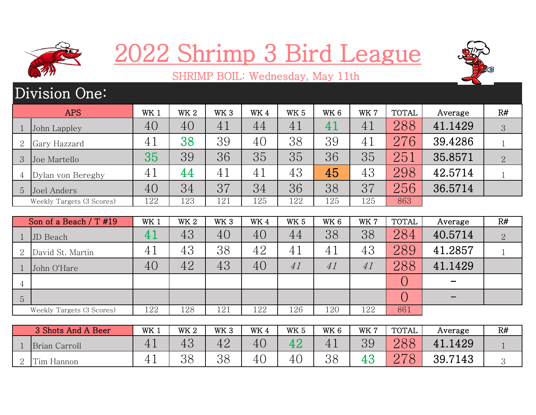

## 2022 Shrimp 3 Bird League



## SHRIMP BOIL: Wednesday, May 11th

## Division One:

|   | <b>APS</b>                | WK 1 | WK <sub>2</sub> | WK <sub>3</sub> | WK4 | <b>WK5</b> | WK <sub>6</sub> | WK 7 | <b>TOTAL</b> | Average | R#             |
|---|---------------------------|------|-----------------|-----------------|-----|------------|-----------------|------|--------------|---------|----------------|
|   | John Lappley              | 40   | 40              | 41              | 44  | 41         | $\mathbf 4$ .   | 41   | 288          | 41.1429 | 3              |
| 2 | Gary Hazzard              | 41   | 38              | 39              | 40  | 38         | 39              | 41   | 276          | 39.4286 |                |
|   | Joe Martello              | 35   | 39              | 36              | 35  | 35         | 36              | 35   | 251          | 35.8571 | $\overline{2}$ |
|   | Dylan von Bereghy         | 41   | 44              | 41              | 41  | 43         | 45              | 43   | 298          | 42.5714 |                |
| 5 | Joel Anders               | 40   | 34              | 37              | 34  | 36         | 38              | 37   | 256          | 36.5714 |                |
|   | Weekly Targets (3 Scores) | 122  | 123             | 121             | 125 | 122        | 125             | 125  | 863          |         |                |

|                 | Son of a Beach $/T$ #19   | WK 1 | WK <sub>2</sub> | WK <sub>3</sub> | WK4 | <b>WK 5</b> | WK <sub>6</sub> | WK 7 | <b>TOTAL</b> | Average | R#             |
|-----------------|---------------------------|------|-----------------|-----------------|-----|-------------|-----------------|------|--------------|---------|----------------|
|                 | JD Beach                  |      | 43              | 40              | 40  | 44          | 38              | 38   | 284          | 40.5714 | $\overline{2}$ |
| 2               | David St. Martin          | 41   | 43              | 38              | 42  | 41          | $4^{\cdot}$     | 43   | 289          | 41.2857 |                |
|                 | John O'Hare               | 40   | 42              | 43              | 40  | 41          | 41              | 41   | 288          | 41.1429 |                |
| $\overline{4}$  |                           |      |                 |                 |     |             |                 |      |              |         |                |
| $5\overline{)}$ |                           |      |                 |                 |     |             |                 |      |              |         |                |
|                 | Weekly Targets (3 Scores) | 122  | 128             | 121             | 122 | 126         | 120             | 122  | 861          |         |                |

|   | 3 Shots And A Beer | WK ⊥           | <b>WK2</b> | WK <sub>3</sub> | WK 4 | WK <sub>5</sub> | WK 6 | WK 7 | <b>TOTAL</b>                | Average    | R# |
|---|--------------------|----------------|------------|-----------------|------|-----------------|------|------|-----------------------------|------------|----|
|   | Brian Carroll      | 4 <sub>1</sub> | ΨU         | 42              | 40   |                 | 41   | 39   | 000<br>$\Delta \mathrm{OC}$ | 1429<br>41 |    |
| ↵ | Tim Hannon         | <b>*</b>       | OQ<br>၁ဝ   | 38<br>UU        | 40   | 41              | 38   |      | 070                         | 39.7143    |    |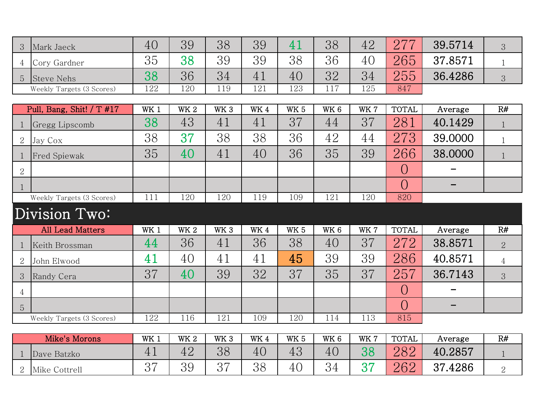| 3<br>Mark Jaeck                     | 40              | 39         | 38              | 39         | 41          | 38              | 42   | 277          | 39.5714           | 3              |
|-------------------------------------|-----------------|------------|-----------------|------------|-------------|-----------------|------|--------------|-------------------|----------------|
| Cory Gardner<br>4                   | 35              | 38         | 39              | 39         | 38          | 36              | 40   | 265          | 37.8571           | $\mathbf 1$    |
| <b>Steve Nehs</b><br>$\overline{5}$ | 38              | 36         | 34              | 41         | 40          | 32              | 34   | 255          | 36.4286           | 3              |
| Weekly Targets (3 Scores)           | 122             | 120        | 119             | 121        | 123         | 117             | 125  | 847          |                   |                |
|                                     |                 |            |                 |            |             |                 |      |              |                   |                |
| Pull, Bang, Shit! / T $#17$         | WK <sub>1</sub> | <b>WK2</b> | WK <sub>3</sub> | WK 4       | <b>WK 5</b> | WK <sub>6</sub> | WK7  | <b>TOTAL</b> | Average           | R#             |
| Gregg Lipscomb<br>1                 | 38              | 43         | 41              | 41         | 37          | 44              | 37   | 281          | 40.1429           | $\mathbf{1}$   |
| $\overline{2}$<br>Jay Cox           | 38              | 37         | 38              | 38         | 36          | 42              | 44   | 273          | 39.0000           | $\mathbf{1}$   |
| <b>Fred Spiewak</b><br>$\mathbf{1}$ | 35              | 40         | 41              | 40         | 36          | 35              | 39   | 266          | 38.0000           | $\mathbf{1}$   |
| $\overline{2}$                      |                 |            |                 |            |             |                 |      | $\bigcirc$   |                   |                |
|                                     |                 |            |                 |            |             |                 |      | $\bigcirc$   |                   |                |
| Weekly Targets (3 Scores)           | 111             | 120        | 120             | 119        | 109         | 121             | 120  | 820          |                   |                |
|                                     |                 |            |                 |            |             |                 |      |              |                   |                |
| Division Two:                       |                 |            |                 |            |             |                 |      |              |                   |                |
| <b>All Lead Matters</b>             | WK 1            | <b>WK2</b> | WK <sub>3</sub> | <b>WK4</b> | <b>WK 5</b> | WK <sub>6</sub> | WK7  | <b>TOTAL</b> | Average           | R#             |
| Keith Brossman<br>1                 | 44              | 36         | 41              | 36         | 38          | 40              | 37   | 272          | 38.8571           | $\overline{2}$ |
| $\overline{2}$<br>John Elwood       | 41              | 40         | 41              | 41         | 45          | 39              | 39   | 286          | 40.8571           | $\overline{4}$ |
| 3<br>Randy Cera                     | 37              | 40         | 39              | 32         | 37          | 35              | 37   | 257          | 36.7143           | 3              |
| $\overline{4}$                      |                 |            |                 |            |             |                 |      | $\bigcirc$   |                   |                |
| $\overline{5}$                      |                 |            |                 |            |             |                 |      | $\bigcirc$   | $\qquad \qquad -$ |                |
| Weekly Targets (3 Scores)           | 122             | 116        | 121             | 109        | 120         | 114             | 113  | 815          |                   |                |
|                                     |                 |            |                 |            |             |                 |      |              |                   |                |
| Mike's Morons                       | WK 1            | <b>WK2</b> | WK <sub>3</sub> | <b>WK4</b> | <b>WK 5</b> | WK <sub>6</sub> | WK 7 | <b>TOTAL</b> | Average           | R#             |
| Dave Batzko<br>$\mathbf{1}$         | 41              | 42         | 38              | 40         | 43          | 40              | 38   | 282          | 40.2857           | $\mathbf{1}$   |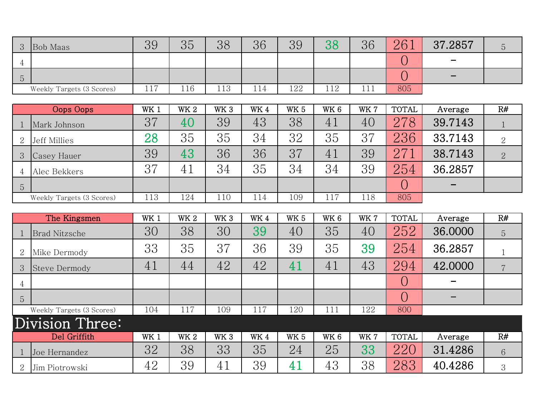| $\mathbf{Q}$   | <b>Bob Maas</b>           | 39                    | 25<br>υU | 38                       | 36                    | 39  | 38  | 36           | 961 | .2857<br>27              |  |
|----------------|---------------------------|-----------------------|----------|--------------------------|-----------------------|-----|-----|--------------|-----|--------------------------|--|
| $\overline{ }$ |                           |                       |          |                          |                       |     |     |              |     | $\overline{\phantom{a}}$ |  |
| $\overline{O}$ |                           |                       |          |                          |                       |     |     |              |     | $\sim$                   |  |
|                | Weekly Targets (3 Scores) | $\overline{1}$<br>111 | 116      | $\lnot$ $\lnot$<br>1 T O | $\blacksquare$<br>114 | 122 | 112 | 111<br>1 T T | 805 |                          |  |

|                | Oops Oops                 | WK 1 | <b>WK2</b> | WK <sub>3</sub> | WK4 | <b>WK 5</b> | WK <sub>6</sub> | WK 7 | <b>TOTAL</b> | Average | R#             |
|----------------|---------------------------|------|------------|-----------------|-----|-------------|-----------------|------|--------------|---------|----------------|
|                | Mark Johnson              | 37   | 40         | 39              | 43  | 38          | 41              | 40   | 278          | 39.7143 |                |
| 2              | Jeff Millies              | 28   | 35         | 35              | 34  | 32          | 35              | 37   | 236          | 33.7143 | $\overline{2}$ |
| 3              | Casey Hauer               | 39   | 43         | 36              | 36  | 37          | 41              | 39   | 27           | 38.7143 | $\overline{2}$ |
| 4              | Alec Bekkers              | 37   | 41         | 34              | 35  | 34          | 34              | 39   | 254          | 36.2857 |                |
| $\overline{5}$ |                           |      |            |                 |     |             |                 |      |              |         |                |
|                | Weekly Targets (3 Scores) | 113  | 124        | 110             | 114 | 109         |                 | 118  | 805          |         |                |

|                | The Kingsmen              | WK 1 | <b>WK2</b>      | WK <sub>3</sub> | WK4 | WK <sub>5</sub> | WK <sub>6</sub> | WK 7 | <b>TOTAL</b> | Average | R# |
|----------------|---------------------------|------|-----------------|-----------------|-----|-----------------|-----------------|------|--------------|---------|----|
|                | <b>Brad Nitzsche</b>      | 30   | 38              | 30              | 39  | 40              | 35              | 40   | 252          | 36,0000 | 5  |
| $\overline{2}$ | Mike Dermody              | 33   | 35              | 37              | 36  | 39              | 35              | 39   | 254          | 36.2857 |    |
| 3              | Steve Dermody             | 41   | 44              | 42              | 42  | 41              | 41              | 43   | 294          | 42.0000 | 7  |
| 4              |                           |      |                 |                 |     |                 |                 |      |              |         |    |
| 5              |                           |      |                 |                 |     |                 |                 |      |              |         |    |
|                | Weekly Targets (3 Scores) | 104  | 117             | 109             | 117 | 120             | 111             | 122  | 800          |         |    |
|                | Division Three:           |      |                 |                 |     |                 |                 |      |              |         |    |
|                | Del Griffith              | WK 1 | WK <sub>2</sub> | WK <sub>3</sub> | WK4 | WK <sub>5</sub> | WK <sub>6</sub> | WK 7 | <b>TOTAL</b> | Average | R# |
|                | Joe Hernandez             | 32   | 38              | 33              | 35  | 24              | 25              | 33   | 220          | 31.4286 | 6  |
|                | Jim Piotrowski            | 42   | 39              | 41              | 39  | 41              | 43              | 38   | 283          | 40.4286 | 3  |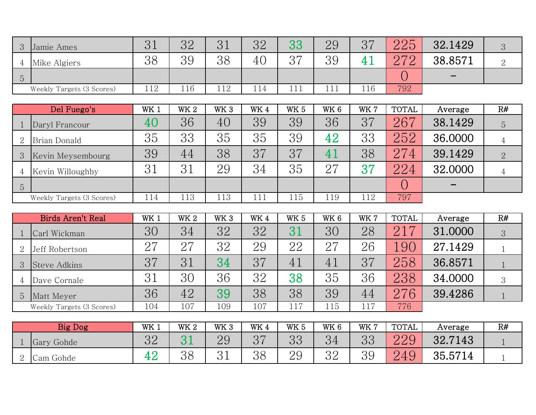| 3       | Jamie Ames                | $\Omega$ 1<br>◡⊥ | $\Omega$<br>◡∠ | $\mathbf{Q}$<br>ບ 1  | つつ<br>◡∠ | ററ<br>ບບ        | 29          | $\Omega$<br>◡ | りりに<br>$\overline{\omega}$ $\overline{\omega}$ | 32.1429                  |  |
|---------|---------------------------|------------------|----------------|----------------------|----------|-----------------|-------------|---------------|------------------------------------------------|--------------------------|--|
|         | Mike Algiers              | 38               | 39             | 98<br>UU             | 40       | $\Omega$<br>◡   | 39          |               | へワC                                            | 38.8571                  |  |
| $\circ$ |                           |                  |                |                      |          |                 |             |               |                                                | $\overline{\phantom{0}}$ |  |
|         | Weekly Targets (3 Scores) | 112              | 116            | $-1$ $\Omega$<br>⊥⊥∠ | 114      | .<br><b>TTT</b> | 11<br>1 T T | 116           | 792                                            |                          |  |

|                | Del Fuego's               | WK 1 | <b>WK2</b> | WK <sub>3</sub> | WK4 | WK <sub>5</sub> | WK <sub>6</sub> | WK 7 | <b>TOTAL</b> | Average | R# |
|----------------|---------------------------|------|------------|-----------------|-----|-----------------|-----------------|------|--------------|---------|----|
|                | Daryl Francour            | 40   | 36         | 40              | 39  | 39              | 36              | 37   | 267          | 38.1429 | 5  |
| 2              | Brian Donald              | 35   | 33         | 35              | 35  | 39              | 42              | 33   | 252          | 36.0000 |    |
| $\mathcal{S}$  | Kevin Meysembourg         | 39   | 44         | 38              | 37  | 37              | 4               | 38   | 274          | 39.1429 | 2  |
| 4              | Kevin Willoughby          | 31   | 31         | 29              | 34  | 35              | $\Omega$        | 37   | 224          | 32.0000 |    |
| $\overline{5}$ |                           |      |            |                 |     |                 |                 |      |              |         |    |
|                | Weekly Targets (3 Scores) | 114  | 113        | 113             | 111 | 115             | 119             | 112  | 797          |         |    |

|                | Birds Aren't Real         | WK 1 | WK <sub>2</sub> | WK <sub>3</sub> | WK4 | WK <sub>5</sub> | WK <sub>6</sub> | WK 7 | <b>TOTAL</b>           | Average | R# |
|----------------|---------------------------|------|-----------------|-----------------|-----|-----------------|-----------------|------|------------------------|---------|----|
|                | Carl Wickman              | 30   | 34              | 32              | 32  |                 | 30              | 28   | $\sqrt{2}$<br>$\Omega$ | 31.0000 | 3  |
| 2              | Jeff Robertson            | 27   | 27              | 32              | 29  | 22              | 27              | 26   | .90                    | 27.1429 |    |
| $\mathcal{S}$  | Steve Adkins              | 37   | 31              | 34              | 37  | 41              | 41              | 37   | 258                    | 36.8571 |    |
|                | Dave Cornale              | 31   | 30              | 36              | 32  | 38              | 35              | 36   | 238                    | 34.0000 | 3  |
| 5 <sup>5</sup> | Matt Meyer                | 36   | 42              | 39              | 38  | 38              | 39              | 44   | 27<br>$^76$            | 39.4286 |    |
|                | Weekly Targets (3 Scores) | 104  | 107             | 109             | 107 | 117             | 115             | 117  | 776                    |         |    |

|   | <b>Big Dog</b>         | WK 1     | WK <sub>2</sub>      | WK <sub>3</sub>           | WK 4     | WK <sub>5</sub>          | WK 6           | WK 7           | TOTAL                                                                | Average | R# |
|---|------------------------|----------|----------------------|---------------------------|----------|--------------------------|----------------|----------------|----------------------------------------------------------------------|---------|----|
|   | Gary Gohde             | ററ<br>◡▱ |                      | 20<br>$\overline{\smile}$ | $\Omega$ | ററ<br>υU                 | 34             | $\Omega$<br>ບບ | 220<br>$\overline{\omega} \, \overline{\omega} \, \overline{\omega}$ | 32.7143 |    |
| ↩ | $\sim$<br>Gohde<br>Cam | 42       | $\overline{O}$<br>OO | ◡⊥                        | 38       | ററ<br>◡<br>$\bm{\omega}$ | $\Omega$<br>◡▱ | 39             | $\overline{O}$<br>–                                                  | 35.5714 |    |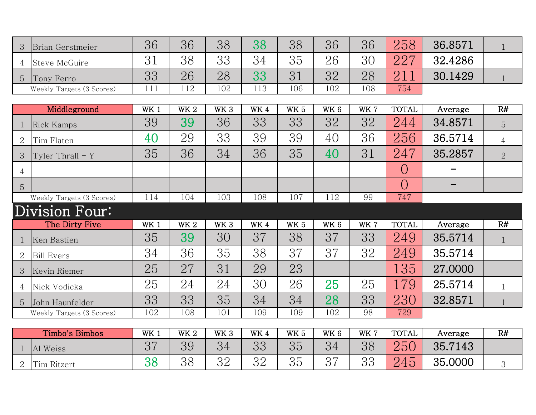| 3              | Brian Gerstmeier          | 36              | 36         | 38              | 38   | 38              | 36              | 36  | 258            | 36.8571 | $\mathbf{1}$   |
|----------------|---------------------------|-----------------|------------|-----------------|------|-----------------|-----------------|-----|----------------|---------|----------------|
| 4              | <b>Steve McGuire</b>      | 31              | 38         | 33              | 34   | 35              | 26              | 30  | 227            | 32.4286 |                |
| $\overline{5}$ | Tony Ferro                | 33              | 26         | 28              | 33   | 31              | 32              | 28  | 211            | 30.1429 | $\mathbf{1}$   |
|                | Weekly Targets (3 Scores) | 111             | 112        | 102             | 113  | 106             | 102             | 108 | 754            |         |                |
|                |                           |                 |            |                 |      |                 |                 |     |                |         |                |
|                | Middleground              | WK <sub>1</sub> | <b>WK2</b> | WK <sub>3</sub> | WK 4 | <b>WK 5</b>     | WK <sub>6</sub> | WK7 | <b>TOTAL</b>   | Average | R#             |
| 1              | Rick Kamps                | 39              | 39         | 36              | 33   | 33              | 32              | 32  | 244            | 34.8571 | 5              |
| $\overline{2}$ | Tim Flaten                | 40              | 29         | 33              | 39   | 39              | 40              | 36  | 256            | 36.5714 | $\overline{4}$ |
| 3              | Tyler Thrall $-$ Y        | 35              | 36         | 34              | 36   | 35              | 40              | 31  | 247            | 35.2857 | $\overline{2}$ |
| $\overline{4}$ |                           |                 |            |                 |      |                 |                 |     | $\overline{O}$ |         |                |
| 5              |                           |                 |            |                 |      |                 |                 |     | $\bigcirc$     |         |                |
|                | Weekly Targets (3 Scores) | 114             | 104        | 103             | 108  | 107             | 112             | 99  | 747            |         |                |
|                | Division Four:            |                 |            |                 |      |                 |                 |     |                |         |                |
|                | The Dirty Five            | WK <sub>1</sub> | <b>WK2</b> | WK <sub>3</sub> | WK 4 | WK <sub>5</sub> | WK <sub>6</sub> | WK7 | <b>TOTAL</b>   | Average | R#             |
|                | Ken Bastien               | 35              | 39         | 30              | 37   | 38              | 37              | 33  | 249            | 35.5714 | $\mathbf{1}$   |
| $\overline{2}$ | <b>Bill Evers</b>         | 34              | 36         | 35              | 38   | 37              | 37              | 32  | 249            | 35.5714 |                |
| 3              | Kevin Riemer              | 25              | 27         | 31              | 29   | 23              |                 |     | 135            | 27.0000 |                |
| 4              | Nick Vodicka              | 25              | 24         | 24              | 30   | 26              | 25              | 25  | 179            | 25.5714 | $\mathbf{1}$   |
| 5              | John Haunfelder           | 33              | 33         | 35              | 34   | 34              | 28              | 33  | 230            | 32.8571 | $\mathbf{1}$   |
|                | Weekly Targets (3 Scores) | 102             | 108        | 101             | 109  | 109             | 102             | 98  | 729            |         |                |
|                |                           |                 |            |                 |      |                 |                 |     |                |         |                |
|                | Timbo's Bimbos            | WK 1            | <b>WK2</b> | WK <sub>3</sub> | WK4  | WK <sub>5</sub> | WK <sub>6</sub> | WK7 | <b>TOTAL</b>   | Average | R#             |
| $\mathbf 1$    | Al Weiss                  | 37              | 39         | 34              | 33   | 35              | 34              | 38  | 250            | 35.7143 |                |
| $\overline{2}$ | Tim Ritzert               | 38              | 38         | 32              | 32   | 35              | 37              | 33  | 245            | 35.0000 | 3              |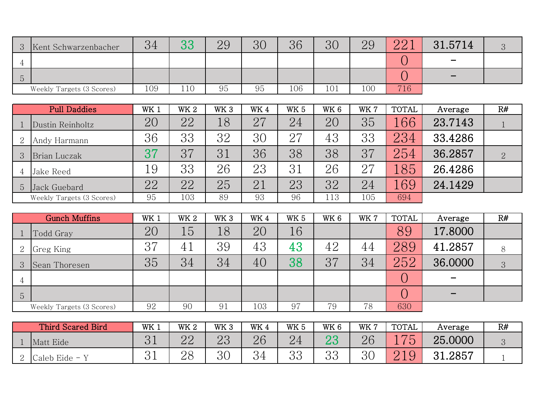| $\mathbf{Q}$   | Kent Schwarzenbacher      | 34  | ററ<br>UU | 29 | $\Omega$<br>UU | 36  | 30  | 29  | $\Omega$ $\Omega$ 1 | .5714<br>31              |  |
|----------------|---------------------------|-----|----------|----|----------------|-----|-----|-----|---------------------|--------------------------|--|
|                |                           |     |          |    |                |     |     |     |                     | $\overline{\phantom{0}}$ |  |
| $\overline{O}$ |                           |     |          |    |                |     |     |     |                     | $\sim$                   |  |
|                | Weekly Targets (3 Scores) | 109 | 110      | 95 | 95             | 106 | 101 | 100 | 716                 |                          |  |

| <b>Pull Daddies</b> |                           | WK 1 | <b>WK2</b> | WK <sub>3</sub> | WK4 | WK <sub>5</sub> | WK <sub>6</sub> | WK 7 | <b>TOTAL</b> | Average | R# |
|---------------------|---------------------------|------|------------|-----------------|-----|-----------------|-----------------|------|--------------|---------|----|
|                     | Dustin Reinholtz          | 20   | 22         | 18              | 27  | 24              | 20              | 35   | .66          | 23.7143 |    |
| 2                   | Andy Harmann              | 36   | 33         | 32              | 30  | 27              | 43              | 33   | 234          | 33.4286 |    |
| 3                   | Brian Luczak              | 37   | 37         | 31              | 36  | 38              | 38              | 37   | 254          | 36.2857 |    |
|                     | Jake Reed                 | 19   | 33         | 26              | 23  | 31              | 26              | 27   | 85           | 26.4286 |    |
| $\circ$             | Jack Guebard              | 22   | 22         | 25              | 21  | 23              | 32              | 24   | 69           | 24.1429 |    |
|                     | Weekly Targets (3 Scores) | 95   | 103        | 89              | 93  | 96              | 113             | 105  | 694          |         |    |

| <b>Gunch Muffins</b> |                           | WK 1 | WK <sub>2</sub> | WK <sub>3</sub> | WK4 | WK <sub>5</sub> | WK <sub>6</sub> | WK 7 | <b>TOTAL</b> | Average | R# |
|----------------------|---------------------------|------|-----------------|-----------------|-----|-----------------|-----------------|------|--------------|---------|----|
|                      | Todd Gray                 | 20   | 15              | 18              | 20  | 16              |                 |      | 89           | 17.8000 |    |
| 2                    | Greg King                 | 37   | 41              | 39              | 43  | 43              | 42              | 44   | 289          | 41.2857 | 8  |
| 3                    | Sean Thoresen             | 35   | 34              | 34              | 40  | 38              | 37              | 34   | 252          | 36.0000 | 3  |
| 4                    |                           |      |                 |                 |     |                 |                 |      |              |         |    |
| $\overline{5}$       |                           |      |                 |                 |     |                 |                 |      |              |         |    |
|                      | Weekly Targets (3 Scores) | 92   | 90              | 91              | 103 | 97              | 79              | 78   | 630          |         |    |

|   | Third Scared Bird | WK 1 | WK <sub>2</sub>         | WK 3     | WK 4           | WK <sub>5</sub> | WK 6     | WK 7 | TOTAL                                               | Average               | R# |
|---|-------------------|------|-------------------------|----------|----------------|-----------------|----------|------|-----------------------------------------------------|-----------------------|----|
|   | Matt Eide         | ◡⊥   | ററ<br>$\sqcup$ $\sqcup$ | ററ<br>∠∪ | 26             | 44              | ີ        | 26   | $\sqrt{2}$<br>$\overline{\phantom{a}}$<br>$\bullet$ | 25.0000               |    |
| ┙ | Caleb Eide -      | ◡⊥   | იი<br>$\angle C$        | ΩC<br>UU | $\Omega$<br>ЭŦ | ററ<br>ບບ        | ററ<br>UU | ЗC   | $\overline{O}$<br>┙                                 | 2857<br>െ ≺<br>. U.L. |    |